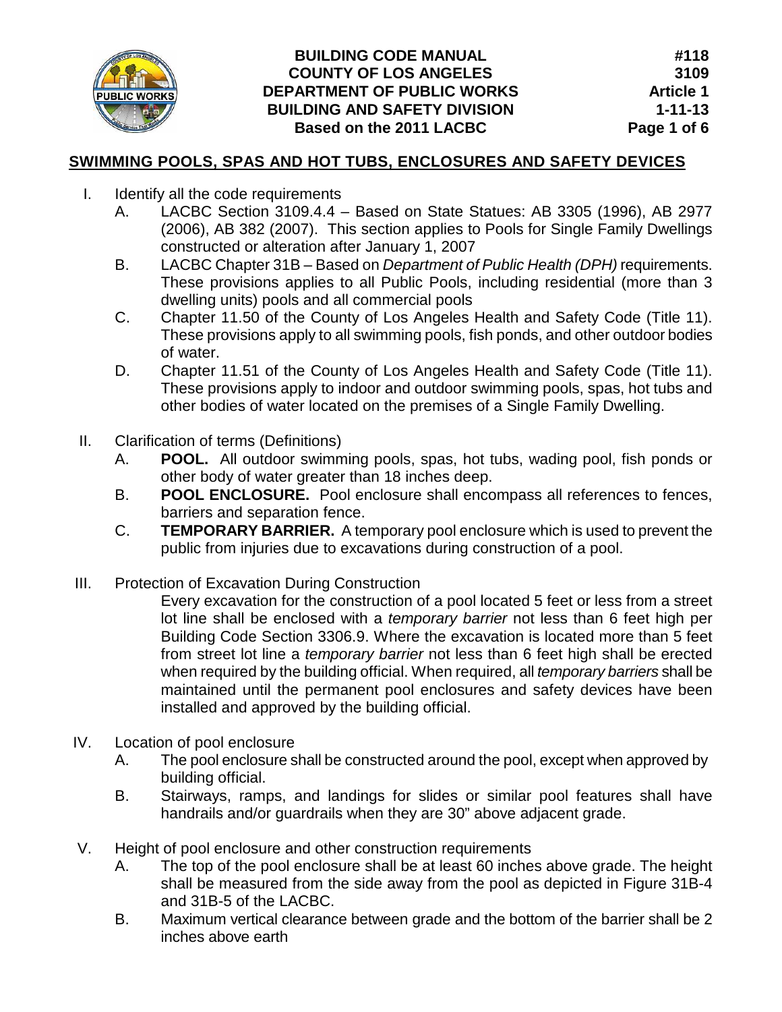

# **BUILDING CODE MANUAL COUNTY OF LOS ANGELES DEPARTMENT OF PUBLIC WORKS BUILDING AND SAFETY DIVISION Based on the 2011 LACBC**

# **SWIMMING POOLS, SPAS AND HOT TUBS, ENCLOSURES AND SAFETY DEVICES**

- I. Identify all the code requirements
	- A. LACBC Section 3109.4.4 Based on State Statues: AB 3305 (1996), AB 2977 (2006), AB 382 (2007). This section applies to Pools for Single Family Dwellings constructed or alteration after January 1, 2007
	- B. LACBC Chapter 31B Based on *Department of Public Health (DPH)* requirements. These provisions applies to all Public Pools, including residential (more than 3 dwelling units) pools and all commercial pools
	- C. Chapter 11.50 of the County of Los Angeles Health and Safety Code (Title 11). These provisions apply to all swimming pools, fish ponds, and other outdoor bodies of water.
	- D. Chapter 11.51 of the County of Los Angeles Health and Safety Code (Title 11). These provisions apply to indoor and outdoor swimming pools, spas, hot tubs and other bodies of water located on the premises of a Single Family Dwelling.
- II. Clarification of terms (Definitions)
	- A. **POOL.** All outdoor swimming pools, spas, hot tubs, wading pool, fish ponds or other body of water greater than 18 inches deep.
	- B. **POOL ENCLOSURE.** Pool enclosure shall encompass all references to fences, barriers and separation fence.
	- C. **TEMPORARY BARRIER.** A temporary pool enclosure which is used to prevent the public from injuries due to excavations during construction of a pool.
- III. Protection of Excavation During Construction

Every excavation for the construction of a pool located 5 feet or less from a street lot line shall be enclosed with a *temporary barrier* not less than 6 feet high per Building Code Section 3306.9. Where the excavation is located more than 5 feet from street lot line a *temporary barrier* not less than 6 feet high shall be erected when required by the building official. When required, all *temporary barriers* shall be maintained until the permanent pool enclosures and safety devices have been installed and approved by the building official.

- IV. Location of pool enclosure
	- A. The pool enclosure shall be constructed around the pool, except when approved by building official.
	- B. Stairways, ramps, and landings for slides or similar pool features shall have handrails and/or guardrails when they are 30" above adjacent grade.
- V. Height of pool enclosure and other construction requirements
	- A. The top of the pool enclosure shall be at least 60 inches above grade. The height shall be measured from the side away from the pool as depicted in Figure 31B-4 and 31B-5 of the LACBC.
	- B. Maximum vertical clearance between grade and the bottom of the barrier shall be 2 inches above earth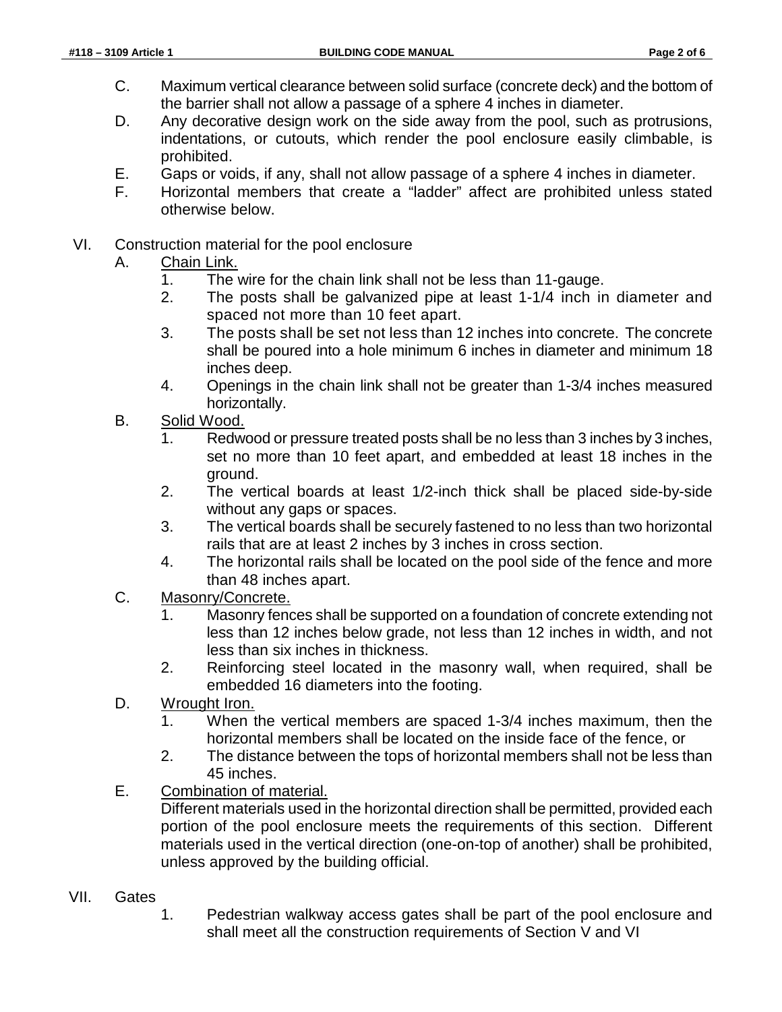- C. Maximum vertical clearance between solid surface (concrete deck) and the bottom of the barrier shall not allow a passage of a sphere 4 inches in diameter.
- D. Any decorative design work on the side away from the pool, such as protrusions, indentations, or cutouts, which render the pool enclosure easily climbable, is prohibited.
- E. Gaps or voids, if any, shall not allow passage of a sphere 4 inches in diameter.
- F. Horizontal members that create a "ladder" affect are prohibited unless stated otherwise below.
- VI. Construction material for the pool enclosure
	- A. Chain Link.
		- 1. The wire for the chain link shall not be less than 11-gauge.
		- 2. The posts shall be galvanized pipe at least 1-1/4 inch in diameter and spaced not more than 10 feet apart.
		- 3. The posts shall be set not less than 12 inches into concrete. The concrete shall be poured into a hole minimum 6 inches in diameter and minimum 18 inches deep.
		- 4. Openings in the chain link shall not be greater than 1-3/4 inches measured horizontally.
	- B. Solid Wood.
		- 1. Redwood or pressure treated posts shall be no less than 3 inches by 3 inches, set no more than 10 feet apart, and embedded at least 18 inches in the ground.
		- 2. The vertical boards at least 1/2-inch thick shall be placed side-by-side without any gaps or spaces.
		- 3. The vertical boards shall be securely fastened to no less than two horizontal rails that are at least 2 inches by 3 inches in cross section.
		- 4. The horizontal rails shall be located on the pool side of the fence and more than 48 inches apart.
	- C. Masonry/Concrete.
		- 1. Masonry fences shall be supported on a foundation of concrete extending not less than 12 inches below grade, not less than 12 inches in width, and not less than six inches in thickness.
		- 2. Reinforcing steel located in the masonry wall, when required, shall be embedded 16 diameters into the footing.
	- D. Wrought Iron.
		- 1. When the vertical members are spaced 1-3/4 inches maximum, then the horizontal members shall be located on the inside face of the fence, or
		- 2. The distance between the tops of horizontal members shall not be less than 45 inches.
	- E. Combination of material.

Different materials used in the horizontal direction shall be permitted, provided each portion of the pool enclosure meets the requirements of this section. Different materials used in the vertical direction (one-on-top of another) shall be prohibited, unless approved by the building official.

- VII. Gates
	- 1. Pedestrian walkway access gates shall be part of the pool enclosure and shall meet all the construction requirements of Section V and VI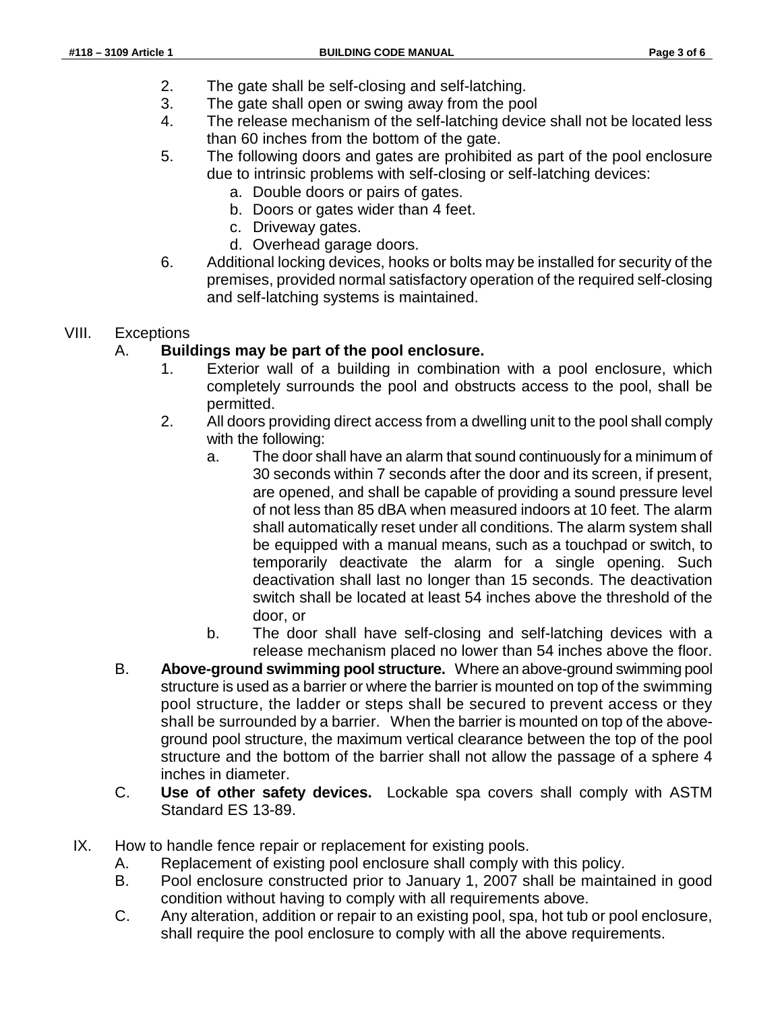- 2. The gate shall be self-closing and self-latching.
- 3. The gate shall open or swing away from the pool
- 4. The release mechanism of the self-latching device shall not be located less than 60 inches from the bottom of the gate.
- 5. The following doors and gates are prohibited as part of the pool enclosure due to intrinsic problems with self-closing or self-latching devices:
	- a. Double doors or pairs of gates.
	- b. Doors or gates wider than 4 feet.
	- c. Driveway gates.
	- d. Overhead garage doors.
- 6. Additional locking devices, hooks or bolts may be installed for security of the premises, provided normal satisfactory operation of the required self-closing and self-latching systems is maintained.

### VIII. Exceptions

## A. **Buildings may be part of the pool enclosure.**

- 1. Exterior wall of a building in combination with a pool enclosure, which completely surrounds the pool and obstructs access to the pool, shall be permitted.
- 2. All doors providing direct access from a dwelling unit to the pool shall comply with the following:
	- a. The door shall have an alarm that sound continuously for a minimum of 30 seconds within 7 seconds after the door and its screen, if present, are opened, and shall be capable of providing a sound pressure level of not less than 85 dBA when measured indoors at 10 feet. The alarm shall automatically reset under all conditions. The alarm system shall be equipped with a manual means, such as a touchpad or switch, to temporarily deactivate the alarm for a single opening. Such deactivation shall last no longer than 15 seconds. The deactivation switch shall be located at least 54 inches above the threshold of the door, or
	- b. The door shall have self-closing and self-latching devices with a release mechanism placed no lower than 54 inches above the floor.
- B. **Above-ground swimming pool structure.** Where an above-ground swimming pool structure is used as a barrier or where the barrier is mounted on top of the swimming pool structure, the ladder or steps shall be secured to prevent access or they shall be surrounded by a barrier. When the barrier is mounted on top of the aboveground pool structure, the maximum vertical clearance between the top of the pool structure and the bottom of the barrier shall not allow the passage of a sphere 4 inches in diameter.
- C. **Use of other safety devices.** Lockable spa covers shall comply with ASTM Standard ES 13-89.
- IX. How to handle fence repair or replacement for existing pools.
	- A. Replacement of existing pool enclosure shall comply with this policy.
	- B. Pool enclosure constructed prior to January 1, 2007 shall be maintained in good condition without having to comply with all requirements above.
	- C. Any alteration, addition or repair to an existing pool, spa, hot tub or pool enclosure, shall require the pool enclosure to comply with all the above requirements.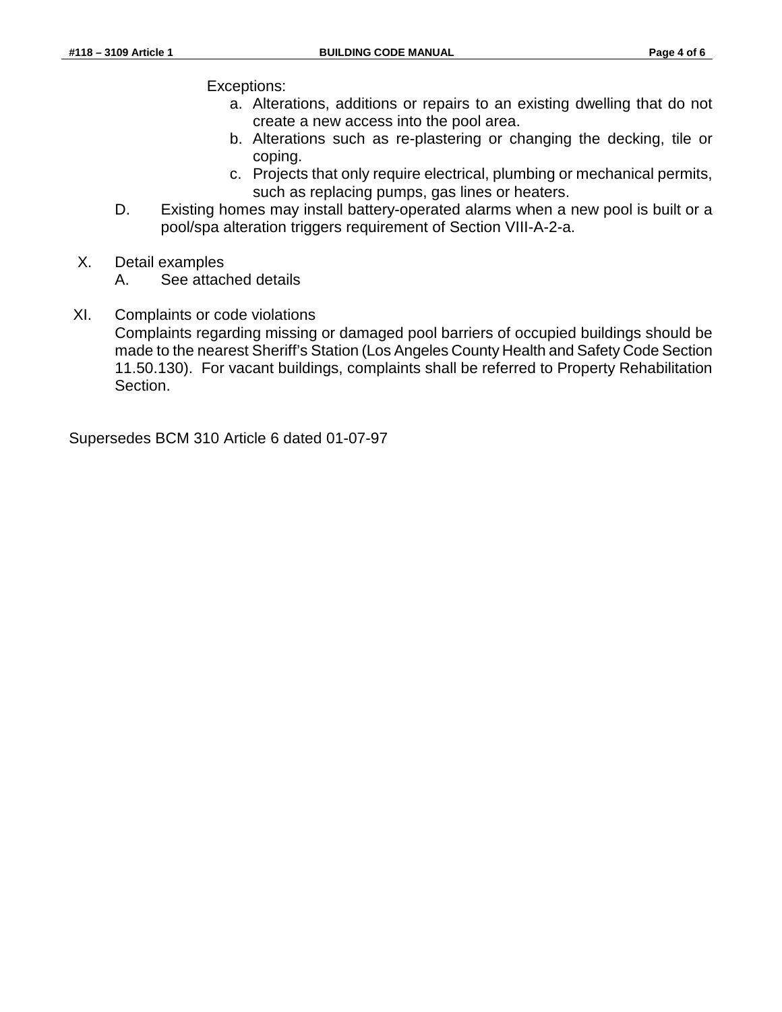Exceptions:

- a. Alterations, additions or repairs to an existing dwelling that do not create a new access into the pool area.
- b. Alterations such as re-plastering or changing the decking, tile or coping.
- c. Projects that only require electrical, plumbing or mechanical permits, such as replacing pumps, gas lines or heaters.
- D. Existing homes may install battery-operated alarms when a new pool is built or a pool/spa alteration triggers requirement of Section VIII-A-2-a.
- X. Detail examples
	- A. See attached details
- XI. Complaints or code violations Complaints regarding missing or damaged pool barriers of occupied buildings should be made to the nearest Sheriff's Station (Los Angeles County Health and Safety Code Section 11.50.130). For vacant buildings, complaints shall be referred to Property Rehabilitation Section.

Supersedes BCM 310 Article 6 dated 01-07-97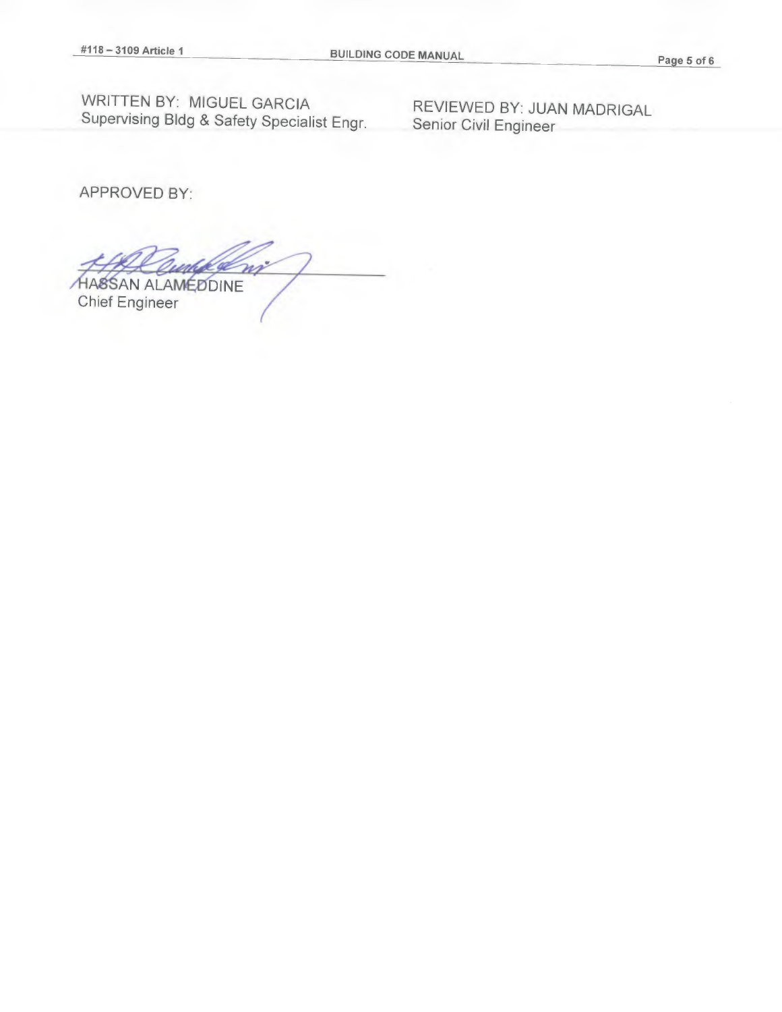WRITTEN BY: MIGUEL GARCIA REVIEWED BY: JUAN MADRIGAL Supervising Bldg & Safety Specialist Engr. Senior Civil Engineer

APPROVED BY:

m **HA8SAN ALAMEDDINE** Chief Engineer